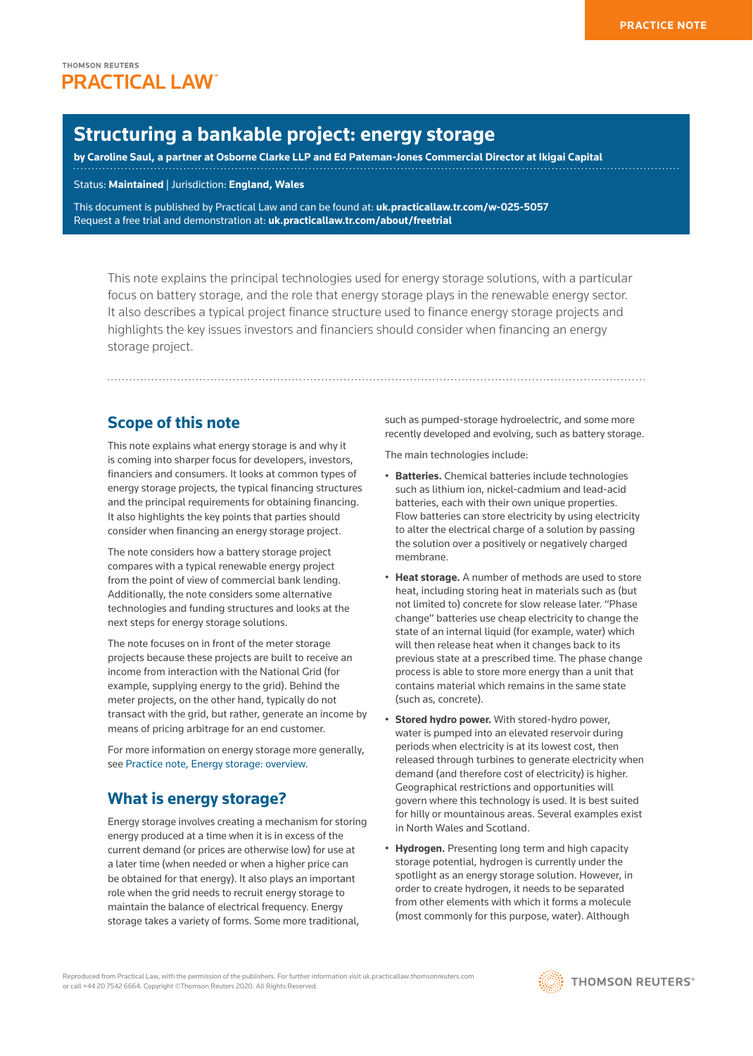# **Structuring a bankable project: energy storage**

**by [Caroline Saul](https://www.osborneclarke.com/lawyers/caroline-saul/), a partner at [Osborne Clarke LLP](https://www.osborneclarke.com/) and [Ed Pateman-Jones](https://www.ikigai-capital.co.uk/team/) Commercial Director at [Ikigai Capital](https://www.ikigai-capital.co.uk/)**

Status: **Maintained** | Jurisdiction: **England, Wales**

This document is published by Practical Law and can be found at: **[uk.practicallaw.tr.com/w-025-5057](http://uk.practicallaw.tr.com/w-025-5057)** Request a free trial and demonstration at: **[uk.practicallaw.tr.com/about/freetrial](http://uk.practicallaw.tr.com/about/freetrial)**

This note explains the principal technologies used for energy storage solutions, with a particular focus on battery storage, and the role that energy storage plays in the renewable energy sector. It also describes a typical project finance structure used to finance energy storage projects and highlights the key issues investors and financiers should consider when financing an energy storage project.

# **Scope of this note**

This note explains what energy storage is and why it is coming into sharper focus for developers, investors, financiers and consumers. It looks at common types of energy storage projects, the typical financing structures and the principal requirements for obtaining financing. It also highlights the key points that parties should consider when financing an energy storage project.

The note considers how a battery storage project compares with a typical renewable energy project from the point of view of commercial bank lending. Additionally, the note considers some alternative technologies and funding structures and looks at the next steps for energy storage solutions.

The note focuses on in front of the meter storage projects because these projects are built to receive an income from interaction with the [National Grid](http://uk.practicallaw.thomsonreuters.com/8-623-1217?originationContext=document&vr=3.0&rs=PLUK1.0&transitionType=DocumentItem&contextData=(sc.Default)) (for example, supplying energy to the grid). Behind the meter projects, on the other hand, typically do not transact with the grid, but rather, generate an income by means of pricing arbitrage for an end customer.

For more information on energy storage more generally, see [Practice note, Energy storage: overview](http://uk.practicallaw.tr.com/w-002-4852).

## **What is energy storage?**

Energy storage involves creating a mechanism for storing energy produced at a time when it is in excess of the current demand (or prices are otherwise low) for use at a later time (when needed or when a higher price can be obtained for that energy). It also plays an important role when the grid needs to recruit energy storage to maintain the balance of electrical frequency. Energy storage takes a variety of forms. Some more traditional,

such as pumped-storage hydroelectric, and some more recently developed and evolving, such as battery storage.

The main technologies include:

- **Batteries.** Chemical batteries include technologies such as lithium ion, nickel-cadmium and lead-acid batteries, each with their own unique properties. Flow batteries can store electricity by using electricity to alter the electrical charge of a solution by passing the solution over a positively or negatively charged membrane.
- **Heat storage.** A number of methods are used to store heat, including storing heat in materials such as (but not limited to) concrete for slow release later. "Phase change" batteries use cheap electricity to change the state of an internal liquid (for example, water) which will then release heat when it changes back to its previous state at a prescribed time. The phase change process is able to store more energy than a unit that contains material which remains in the same state (such as, concrete).
- **Stored hydro power.** With stored-hydro power, water is pumped into an elevated reservoir during periods when electricity is at its lowest cost, then released through turbines to generate electricity when demand (and therefore cost of electricity) is higher. Geographical restrictions and opportunities will govern where this technology is used. It is best suited for hilly or mountainous areas. Several examples exist in North Wales and Scotland.
- **Hydrogen.** Presenting long term and high capacity storage potential, hydrogen is currently under the spotlight as an energy storage solution. However, in order to create hydrogen, it needs to be separated from other elements with which it forms a molecule (most commonly for this purpose, water). Although

Reproduced from Practical Law, with the permission of the publishers. For further information visit uk.practicallaw.thomsonreuters.com or call +44 20 7542 6664. Copyright ©Thomson Reuters 2020. All Rights Reserved.

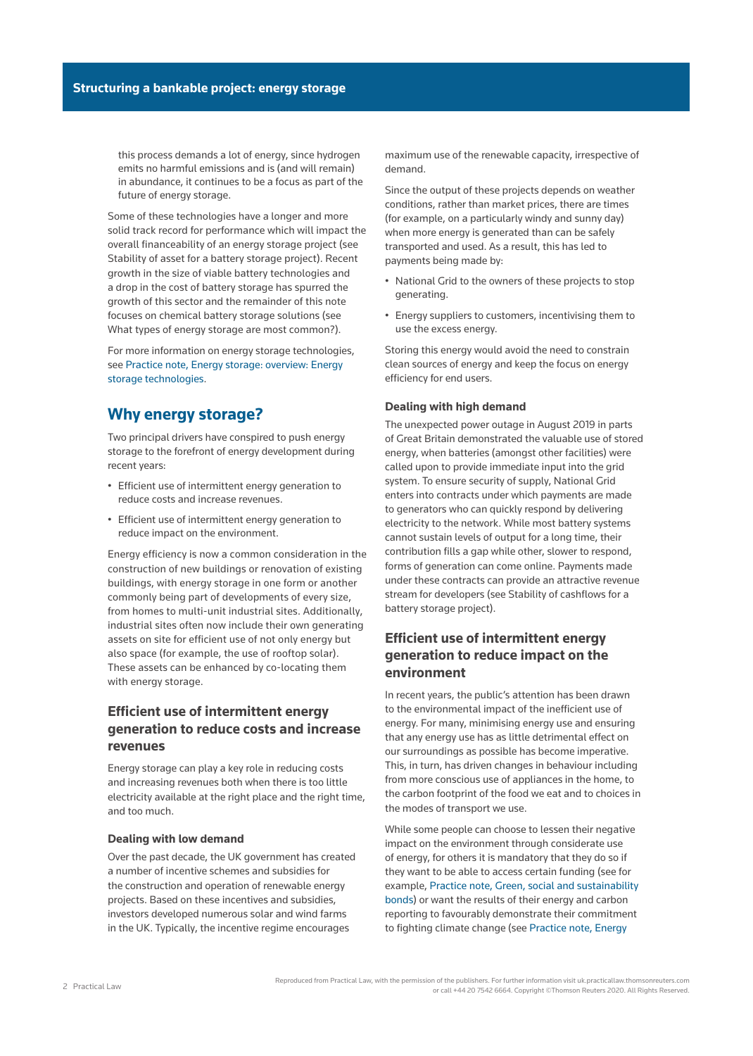this process demands a lot of energy, since hydrogen emits no harmful emissions and is (and will remain) in abundance, it continues to be a focus as part of the future of energy storage.

Some of these technologies have a longer and more solid track record for performance which will impact the overall financeability of an energy storage project (see Stability of asset for a battery storage project). Recent growth in the size of viable battery technologies and a drop in the cost of battery storage has spurred the growth of this sector and the remainder of this note focuses on chemical battery storage solutions (see What types of energy storage are most common?).

For more information on energy storage technologies, see [Practice note, Energy storage: overview: Energy](http://uk.practicallaw.tr.com/w-002-4852)  [storage technologies.](http://uk.practicallaw.tr.com/w-002-4852)

## **Why energy storage?**

Two principal drivers have conspired to push energy storage to the forefront of energy development during recent years:

- Efficient use of intermittent energy generation to reduce costs and increase revenues.
- Efficient use of intermittent energy generation to reduce impact on the environment.

Energy efficiency is now a common consideration in the construction of new buildings or renovation of existing buildings, with energy storage in one form or another commonly being part of developments of every size, from homes to multi-unit industrial sites. Additionally, industrial sites often now include their own generating assets on site for efficient use of not only energy but also space (for example, the use of rooftop solar). These assets can be enhanced by co-locating them with energy storage.

## **Efficient use of intermittent energy generation to reduce costs and increase revenues**

Energy storage can play a key role in reducing costs and increasing revenues both when there is too little electricity available at the right place and the right time, and too much.

### **Dealing with low demand**

Over the past decade, the UK government has created a number of incentive schemes and subsidies for the construction and operation of renewable energy projects. Based on these incentives and subsidies, investors developed numerous solar and wind farms in the UK. Typically, the incentive regime encourages

maximum use of the renewable capacity, irrespective of demand.

Since the output of these projects depends on weather conditions, rather than market prices, there are times (for example, on a particularly windy and sunny day) when more energy is generated than can be safely transported and used. As a result, this has led to payments being made by:

- National Grid to the owners of these projects to stop generating.
- Energy suppliers to customers, incentivising them to use the excess energy.

Storing this energy would avoid the need to constrain clean sources of energy and keep the focus on energy efficiency for end users.

#### **Dealing with high demand**

The unexpected power outage in August 2019 in parts of Great Britain demonstrated the valuable use of stored energy, when batteries (amongst other facilities) were called upon to provide immediate input into the grid system. To ensure security of supply, National Grid enters into contracts under which payments are made to generators who can quickly respond by delivering electricity to the network. While most battery systems cannot sustain levels of output for a long time, their contribution fills a gap while other, slower to respond, forms of generation can come online. Payments made under these contracts can provide an attractive revenue stream for developers (see Stability of cashflows for a battery storage project).

### **Efficient use of intermittent energy generation to reduce impact on the environment**

In recent years, the public's attention has been drawn to the environmental impact of the inefficient use of energy. For many, minimising energy use and ensuring that any energy use has as little detrimental effect on our surroundings as possible has become imperative. This, in turn, has driven changes in behaviour including from more conscious use of appliances in the home, to the carbon footprint of the food we eat and to choices in the modes of transport we use.

While some people can choose to lessen their negative impact on the environment through considerate use of energy, for others it is mandatory that they do so if they want to be able to access certain funding (see for example, [Practice note, Green, social and sustainability](http://uk.practicallaw.tr.com/w-019-9646)  [bonds](http://uk.practicallaw.tr.com/w-019-9646)) or want the results of their energy and carbon reporting to favourably demonstrate their commitment to fighting climate change (see [Practice note, Energy](http://uk.practicallaw.tr.com/w-012-5890)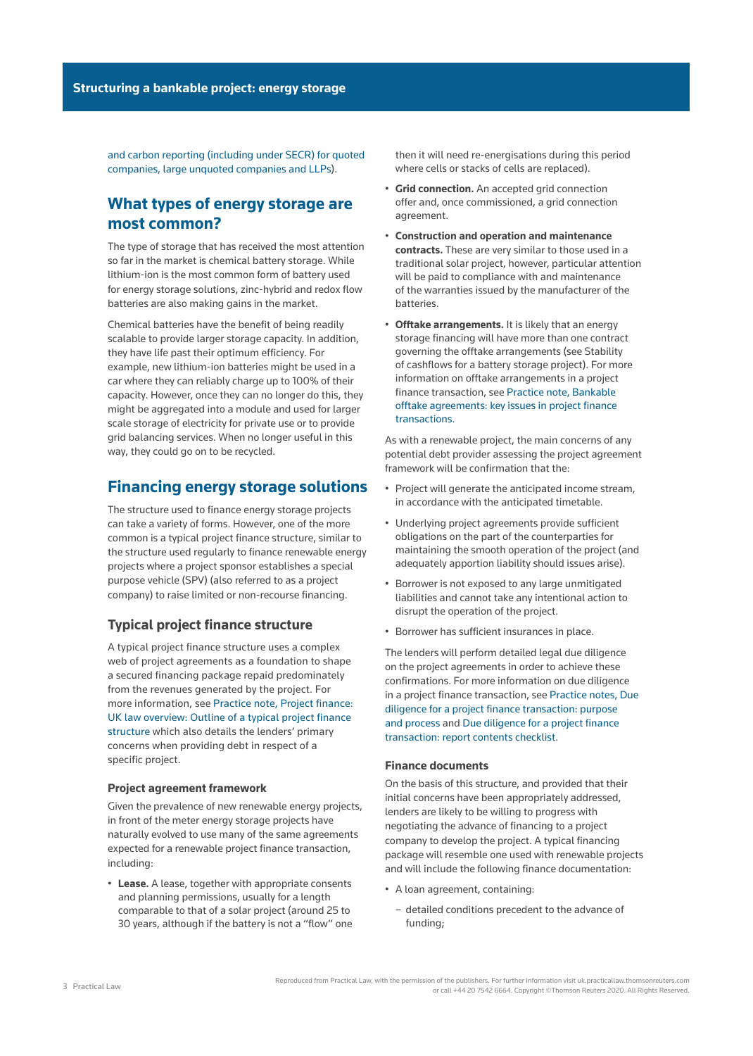[and carbon reporting \(including under SECR\) for quoted](http://uk.practicallaw.tr.com/w-012-5890)  [companies, large unquoted companies and LLPs\)](http://uk.practicallaw.tr.com/w-012-5890).

# **What types of energy storage are most common?**

The type of storage that has received the most attention so far in the market is chemical battery storage. While lithium-ion is the most common form of battery used for energy storage solutions, zinc-hybrid and redox flow batteries are also making gains in the market.

Chemical batteries have the benefit of being readily scalable to provide larger storage capacity. In addition, they have life past their optimum efficiency. For example, new lithium-ion batteries might be used in a car where they can reliably charge up to 100% of their capacity. However, once they can no longer do this, they might be aggregated into a module and used for larger scale storage of electricity for private use or to provide grid balancing services. When no longer useful in this way, they could go on to be recycled.

## **Financing energy storage solutions**

The structure used to finance energy storage projects can take a variety of forms. However, one of the more common is a typical project finance structure, similar to the structure used regularly to finance renewable energy projects where a [project sponsor](http://uk.practicallaw.thomsonreuters.com/w-010-6945?originationContext=document&vr=3.0&rs=PLUK1.0&transitionType=DocumentItem&contextData=(sc.Default)) establishes a [special](http://uk.practicallaw.thomsonreuters.com/5-382-3827?originationContext=document&vr=3.0&rs=PLUK1.0&transitionType=DocumentItem&contextData=(sc.Default))  [purpose vehicle](http://uk.practicallaw.thomsonreuters.com/5-382-3827?originationContext=document&vr=3.0&rs=PLUK1.0&transitionType=DocumentItem&contextData=(sc.Default)) (SPV) (also referred to as a [project](http://uk.practicallaw.thomsonreuters.com/w-010-6941?originationContext=document&vr=3.0&rs=PLUK1.0&transitionType=DocumentItem&contextData=(sc.Default))  [company\)](http://uk.practicallaw.thomsonreuters.com/w-010-6941?originationContext=document&vr=3.0&rs=PLUK1.0&transitionType=DocumentItem&contextData=(sc.Default)) to raise limited or [non-recourse](http://uk.practicallaw.thomsonreuters.com/5-107-6893?originationContext=document&vr=3.0&rs=PLUK1.0&transitionType=DocumentItem&contextData=(sc.Default)) financing.

### **Typical project finance structure**

A typical project finance structure uses a complex web of project agreements as a foundation to shape a secured financing package repaid predominately from the revenues generated by the project. For more information, see [Practice note, Project finance:](http://uk.practicallaw.tr.com/0-202-3293)  [UK law overview: Outline of a typical project finance](http://uk.practicallaw.tr.com/0-202-3293)  [structure](http://uk.practicallaw.tr.com/0-202-3293) which also details the lenders' primary concerns when providing debt in respect of a specific project.

#### **Project agreement framework**

Given the prevalence of new renewable energy projects, in front of the meter energy storage projects have naturally evolved to use many of the same agreements expected for a renewable project finance transaction, including:

• **Lease.** A lease, together with appropriate consents and planning permissions, usually for a length comparable to that of a solar project (around 25 to 30 years, although if the battery is not a "flow" one

then it will need re-energisations during this period where cells or stacks of cells are replaced).

- **Grid connection.** An accepted grid connection offer and, once commissioned, a grid connection agreement.
- **Construction and operation and maintenance contracts.** These are very similar to those used in a traditional solar project, however, particular attention will be paid to compliance with and maintenance of the warranties issued by the manufacturer of the batteries.
- **Offtake arrangements.** It is likely that an energy storage financing will have more than one contract governing the offtake arrangements (see Stability of cashflows for a battery storage project). For more information on offtake arrangements in a project finance transaction, see [Practice note, Bankable](http://uk.practicallaw.tr.com/w-023-8976)  [offtake agreements: key issues in project finance](http://uk.practicallaw.tr.com/w-023-8976)  [transactions.](http://uk.practicallaw.tr.com/w-023-8976)

As with a renewable project, the main concerns of any potential debt provider assessing the project agreement framework will be confirmation that the:

- Project will generate the anticipated income stream, in accordance with the anticipated timetable.
- Underlying project agreements provide sufficient obligations on the part of the counterparties for maintaining the smooth operation of the project (and adequately apportion liability should issues arise).
- Borrower is not exposed to any large unmitigated liabilities and cannot take any intentional action to disrupt the operation of the project.
- Borrower has sufficient insurances in place.

The lenders will perform detailed legal due diligence on the project agreements in order to achieve these confirmations. For more information on due diligence in a project finance transaction, see [Practice notes, Due](http://uk.practicallaw.tr.com/w-018-8584)  [diligence for a project finance transaction: purpose](http://uk.practicallaw.tr.com/w-018-8584)  [and process](http://uk.practicallaw.tr.com/w-018-8584) and [Due diligence for a project finance](http://uk.practicallaw.tr.com/w-017-3257)  [transaction: report contents checklist.](http://uk.practicallaw.tr.com/w-017-3257)

#### **Finance documents**

On the basis of this structure, and provided that their initial concerns have been appropriately addressed, lenders are likely to be willing to progress with negotiating the advance of financing to a project company to develop the project. A typical financing package will resemble one used with renewable projects and will include the following finance documentation:

- A loan agreement, containing:
	- detailed conditions precedent to the advance of funding;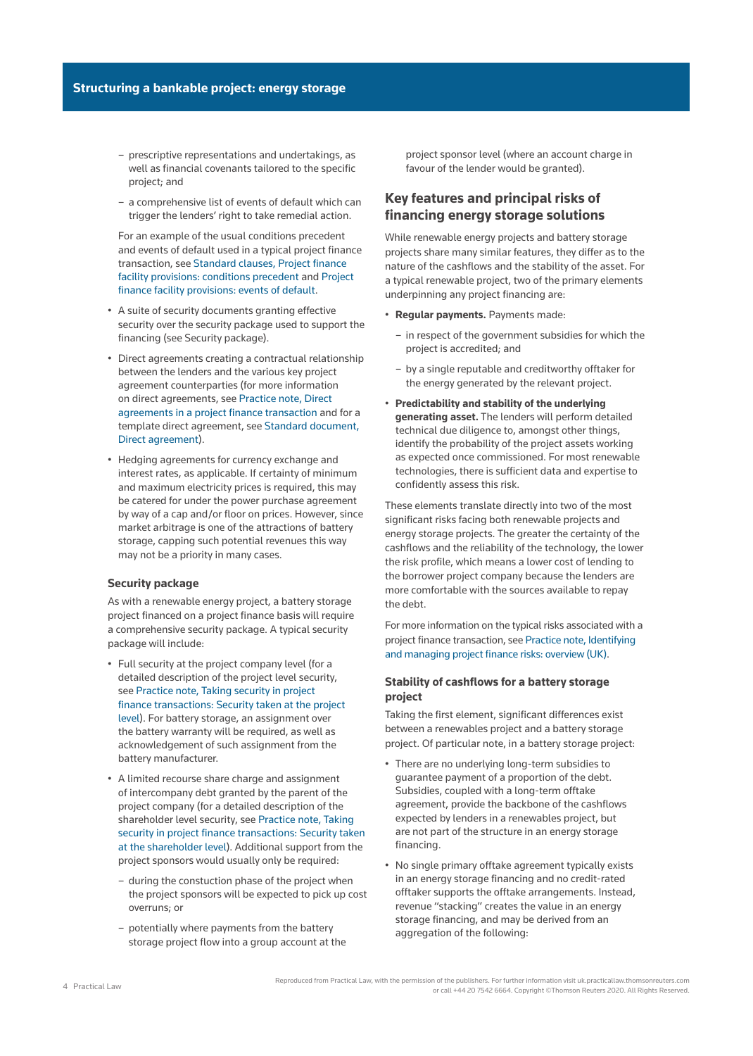- prescriptive representations and undertakings, as well as financial covenants tailored to the specific project; and
- a comprehensive list of events of default which can trigger the lenders' right to take remedial action.

For an example of the usual conditions precedent and events of default used in a typical project finance transaction, see [Standard clauses, Project finance](http://uk.practicallaw.tr.com/w-021-7204)  [facility provisions: conditions precedent](http://uk.practicallaw.tr.com/w-021-7204) and [Project](http://uk.practicallaw.tr.com/w-016-1940)  [finance facility provisions: events of default](http://uk.practicallaw.tr.com/w-016-1940).

- A suite of security documents granting effective security over the security package used to support the financing (see Security package).
- Direct agreements creating a contractual relationship between the lenders and the various key project agreement counterparties (for more information on direct agreements, see [Practice note, Direct](http://uk.practicallaw.tr.com/w-011-8186)  [agreements in a project finance transaction](http://uk.practicallaw.tr.com/w-011-8186) and for a template direct agreement, see [Standard document,](http://uk.practicallaw.tr.com/w-016-9483)  [Direct agreement\)](http://uk.practicallaw.tr.com/w-016-9483).
- Hedging agreements for currency exchange and interest rates, as applicable. If certainty of minimum and maximum electricity prices is required, this may be catered for under the power purchase agreement by way of a cap and/or floor on prices. However, since market arbitrage is one of the attractions of battery storage, capping such potential revenues this way may not be a priority in many cases.

#### **Security package**

As with a renewable energy project, a battery storage project financed on a project finance basis will require a comprehensive security package. A typical security package will include:

- Full security at the project company level (for a detailed description of the project level security, see [Practice note, Taking security in project](http://uk.practicallaw.tr.com/w-011-3755)  [finance transactions: Security taken at the project](http://uk.practicallaw.tr.com/w-011-3755)  [level\)](http://uk.practicallaw.tr.com/w-011-3755). For battery storage, an assignment over the battery warranty will be required, as well as acknowledgement of such assignment from the battery manufacturer.
- A limited recourse share charge and assignment of intercompany debt granted by the parent of the project company (for a detailed description of the shareholder level security, see [Practice note, Taking](http://uk.practicallaw.tr.com/w-011-3755)  [security in project finance transactions: Security taken](http://uk.practicallaw.tr.com/w-011-3755)  [at the shareholder level](http://uk.practicallaw.tr.com/w-011-3755)). Additional support from the project sponsors would usually only be required:
	- during the constuction phase of the project when the project sponsors will be expected to pick up cost overruns; or
	- potentially where payments from the battery storage project flow into a group account at the

project sponsor level (where an account charge in favour of the lender would be granted).

### **Key features and principal risks of financing energy storage solutions**

While renewable energy projects and battery storage projects share many similar features, they differ as to the nature of the cashflows and the stability of the asset. For a typical renewable project, two of the primary elements underpinning any project financing are:

- **Regular payments.** Payments made:
	- in respect of the government subsidies for which the project is accredited; and
	- by a single reputable and creditworthy offtaker for the energy generated by the relevant project.
- **Predictability and stability of the underlying generating asset.** The lenders will perform detailed technical due diligence to, amongst other things, identify the probability of the project assets working as expected once commissioned. For most renewable technologies, there is sufficient data and expertise to confidently assess this risk.

These elements translate directly into two of the most significant risks facing both renewable projects and energy storage projects. The greater the certainty of the cashflows and the reliability of the technology, the lower the risk profile, which means a lower cost of lending to the borrower project company because the lenders are more comfortable with the sources available to repay the debt.

For more information on the typical risks associated with a project finance transaction, see [Practice note, Identifying](http://uk.practicallaw.tr.com/5-564-5045)  [and managing project finance risks: overview \(UK\).](http://uk.practicallaw.tr.com/5-564-5045)

#### **Stability of cashflows for a battery storage project**

Taking the first element, significant differences exist between a renewables project and a battery storage project. Of particular note, in a battery storage project:

- There are no underlying long-term subsidies to guarantee payment of a proportion of the debt. Subsidies, coupled with a long-term offtake agreement, provide the backbone of the cashflows expected by lenders in a renewables project, but are not part of the structure in an energy storage financing.
- No single primary offtake agreement typically exists in an energy storage financing and no credit-rated offtaker supports the offtake arrangements. Instead, revenue "stacking" creates the value in an energy storage financing, and may be derived from an aggregation of the following: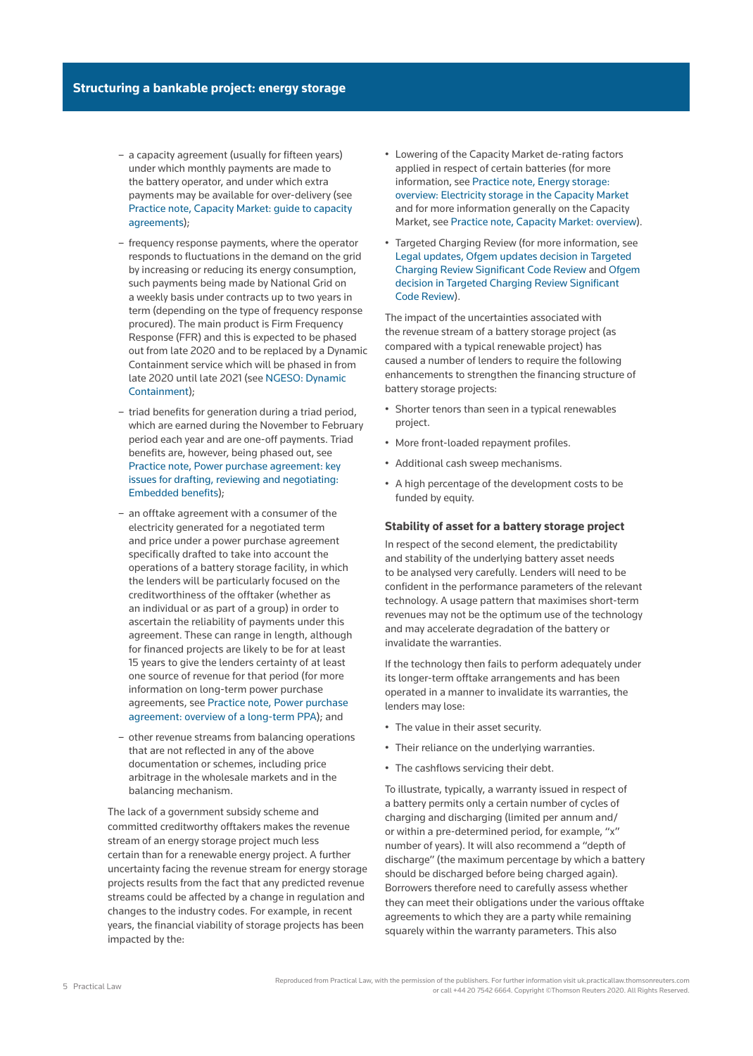- a [capacity agreement](http://uk.practicallaw.thomsonreuters.com/5-622-9937?originationContext=document&vr=3.0&rs=PLUK1.0&transitionType=DocumentItem&contextData=(sc.Default)) (usually for fifteen years) under which monthly payments are made to the battery operator, and under which extra payments may be available for over-delivery (see [Practice note, Capacity Market: guide to capacity](http://uk.practicallaw.tr.com/w-006-6839)  [agreements](http://uk.practicallaw.tr.com/w-006-6839));
- frequency response payments, where the operator responds to fluctuations in the demand on the grid by increasing or reducing its energy consumption, such payments being made by National Grid on a weekly basis under contracts up to two years in term (depending on the type of frequency response procured). The main product is Firm Frequency Response (FFR) and this is expected to be phased out from late 2020 and to be replaced by a Dynamic Containment service which will be phased in from late 2020 until late 2021 (see [NGESO: Dynamic](https://bit.ly/3mKmQuY)  [Containment\)](https://bit.ly/3mKmQuY);
- [triad benefits](http://uk.practicallaw.thomsonreuters.com/w-001-7792?originationContext=document&vr=3.0&rs=PLUK1.0&transitionType=DocumentItem&contextData=(sc.Default)) for generation during a [triad period](http://uk.practicallaw.thomsonreuters.com/w-001-8219?originationContext=document&vr=3.0&rs=PLUK1.0&transitionType=DocumentItem&contextData=(sc.Default)), which are earned during the November to February period each year and are one-off payments. Triad benefits are, however, being phased out, see [Practice note, Power purchase agreement: key](http://uk.practicallaw.tr.com/w-001-8435)  [issues for drafting, reviewing and negotiating:](http://uk.practicallaw.tr.com/w-001-8435)  [Embedded benefits\)](http://uk.practicallaw.tr.com/w-001-8435);
- an offtake agreement with a consumer of the electricity generated for a negotiated term and price under a power purchase agreement specifically drafted to take into account the operations of a battery storage facility, in which the lenders will be particularly focused on the creditworthiness of the offtaker (whether as an individual or as part of a group) in order to ascertain the reliability of payments under this agreement. These can range in length, although for financed projects are likely to be for at least 15 years to give the lenders certainty of at least one source of revenue for that period (for more information on long-term power purchase agreements, see [Practice note, Power purchase](http://uk.practicallaw.tr.com/w-001-8708)  [agreement: overview of a long-term PPA\)](http://uk.practicallaw.tr.com/w-001-8708); and
- other revenue streams from balancing operations that are not reflected in any of the above documentation or schemes, including price arbitrage in the wholesale markets and in the balancing mechanism.

The lack of a government subsidy scheme and committed creditworthy offtakers makes the revenue stream of an energy storage project much less certain than for a renewable energy project. A further uncertainty facing the revenue stream for energy storage projects results from the fact that any predicted revenue streams could be affected by a change in regulation and changes to the industry codes. For example, in recent years, the financial viability of storage projects has been impacted by the:

- Lowering of the [Capacity Market](http://uk.practicallaw.thomsonreuters.com/3-622-9863?originationContext=document&vr=3.0&rs=PLUK1.0&transitionType=DocumentItem&contextData=(sc.Default)) de-rating factors applied in respect of certain batteries (for more information, see [Practice note, Energy storage:](http://uk.practicallaw.tr.com/w-002-4852)  [overview: Electricity storage in the Capacity Market](http://uk.practicallaw.tr.com/w-002-4852) and for more information generally on the Capacity Market, see [Practice note, Capacity Market: overview\)](http://uk.practicallaw.tr.com/8-598-9606).
- Targeted Charging Review (for more information, see [Legal updates, Ofgem updates decision in Targeted](http://uk.practicallaw.tr.com/w-023-3318)  [Charging Review Significant Code Review](http://uk.practicallaw.tr.com/w-023-3318) and [Ofgem](http://uk.practicallaw.tr.com/w-022-9375)  [decision in Targeted Charging Review Significant](http://uk.practicallaw.tr.com/w-022-9375)  [Code Review\)](http://uk.practicallaw.tr.com/w-022-9375).

The impact of the uncertainties associated with the revenue stream of a battery storage project (as compared with a typical renewable project) has caused a number of lenders to require the following enhancements to strengthen the financing structure of battery storage projects:

- Shorter tenors than seen in a typical renewables project.
- More front-loaded repayment profiles.
- Additional cash sweep mechanisms.
- A high percentage of the development costs to be funded by equity.

#### **Stability of asset for a battery storage project**

In respect of the second element, the predictability and stability of the underlying battery asset needs to be analysed very carefully. Lenders will need to be confident in the performance parameters of the relevant technology. A usage pattern that maximises short-term revenues may not be the optimum use of the technology and may accelerate degradation of the battery or invalidate the warranties.

If the technology then fails to perform adequately under its longer-term offtake arrangements and has been operated in a manner to invalidate its warranties, the lenders may lose:

- The value in their asset security.
- Their reliance on the underlying warranties.
- The cashflows servicing their debt.

To illustrate, typically, a warranty issued in respect of a battery permits only a certain number of cycles of charging and discharging (limited per annum and/ or within a pre-determined period, for example, "x" number of years). It will also recommend a "depth of discharge" (the maximum percentage by which a battery should be discharged before being charged again). Borrowers therefore need to carefully assess whether they can meet their obligations under the various offtake agreements to which they are a party while remaining squarely within the warranty parameters. This also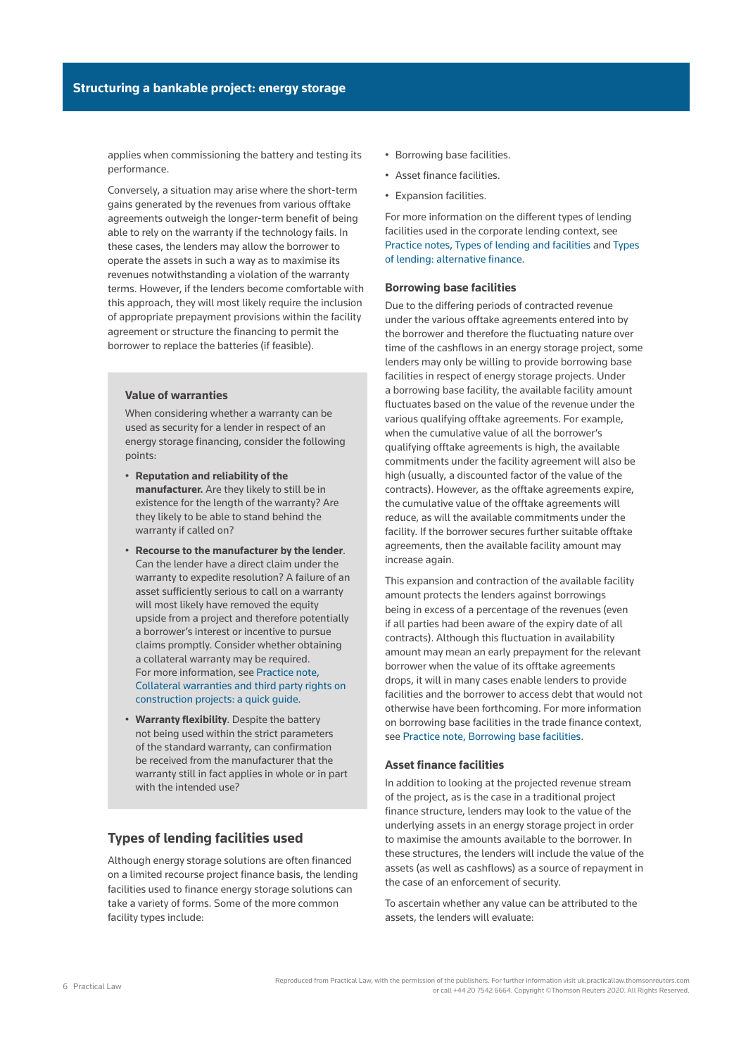applies when commissioning the battery and testing its performance.

Conversely, a situation may arise where the short-term gains generated by the revenues from various offtake agreements outweigh the longer-term benefit of being able to rely on the warranty if the technology fails. In these cases, the lenders may allow the borrower to operate the assets in such a way as to maximise its revenues notwithstanding a violation of the warranty terms. However, if the lenders become comfortable with this approach, they will most likely require the inclusion of appropriate prepayment provisions within the facility agreement or structure the financing to permit the borrower to replace the batteries (if feasible).

#### **Value of warranties**

When considering whether a warranty can be used as security for a lender in respect of an energy storage financing, consider the following points:

- **Reputation and reliability of the manufacturer.** Are they likely to still be in existence for the length of the warranty? Are they likely to be able to stand behind the warranty if called on?
- **Recourse to the manufacturer by the lender**. Can the lender have a direct claim under the warranty to expedite resolution? A failure of an asset sufficiently serious to call on a warranty will most likely have removed the equity upside from a project and therefore potentially a borrower's interest or incentive to pursue claims promptly. Consider whether obtaining a [collateral warranty](http://uk.practicallaw.thomsonreuters.com/1-107-5937?originationContext=document&vr=3.0&rs=PLUK1.0&transitionType=DocumentItem&contextData=(sc.Default)) may be required. For more information, see [Practice note,](http://uk.practicallaw.tr.com/4-502-4310)  [Collateral warranties and third party rights on](http://uk.practicallaw.tr.com/4-502-4310)  [construction projects: a quick guide.](http://uk.practicallaw.tr.com/4-502-4310)
- **Warranty flexibility**. Despite the battery not being used within the strict parameters of the standard warranty, can confirmation be received from the manufacturer that the warranty still in fact applies in whole or in part with the intended use?

### **Types of lending facilities used**

Although energy storage solutions are often financed on a limited recourse project finance basis, the lending facilities used to finance energy storage solutions can take a variety of forms. Some of the more common facility types include:

- Borrowing base facilities.
- Asset finance facilities.
- Expansion facilities.

For more information on the different types of lending facilities used in the corporate lending context, see [Practice notes, Types of lending and facilities](http://uk.practicallaw.tr.com/8-202-0672) and [Types](http://uk.practicallaw.tr.com/9-617-7031)  [of lending: alternative finance.](http://uk.practicallaw.tr.com/9-617-7031)

#### **Borrowing base facilities**

Due to the differing periods of contracted revenue under the various offtake agreements entered into by the borrower and therefore the fluctuating nature over time of the cashflows in an energy storage project, some lenders may only be willing to provide borrowing base facilities in respect of energy storage projects. Under a borrowing base facility, the available facility amount fluctuates based on the value of the revenue under the various qualifying offtake agreements. For example, when the cumulative value of all the borrower's qualifying offtake agreements is high, the available commitments under the facility agreement will also be high (usually, a discounted factor of the value of the contracts). However, as the offtake agreements expire, the cumulative value of the offtake agreements will reduce, as will the available commitments under the facility. If the borrower secures further suitable offtake agreements, then the available facility amount may increase again.

This expansion and contraction of the available facility amount protects the lenders against borrowings being in excess of a percentage of the revenues (even if all parties had been aware of the expiry date of all contracts). Although this fluctuation in availability amount may mean an early prepayment for the relevant borrower when the value of its offtake agreements drops, it will in many cases enable lenders to provide facilities and the borrower to access debt that would not otherwise have been forthcoming. For more information on borrowing base facilities in the trade finance context, see [Practice note, Borrowing base facilities.](http://uk.practicallaw.tr.com/0-630-4359)

#### **Asset finance facilities**

In addition to looking at the projected revenue stream of the project, as is the case in a traditional project finance structure, lenders may look to the value of the underlying assets in an energy storage project in order to maximise the amounts available to the borrower. In these structures, the lenders will include the value of the assets (as well as cashflows) as a source of repayment in the case of an enforcement of security.

To ascertain whether any value can be attributed to the assets, the lenders will evaluate: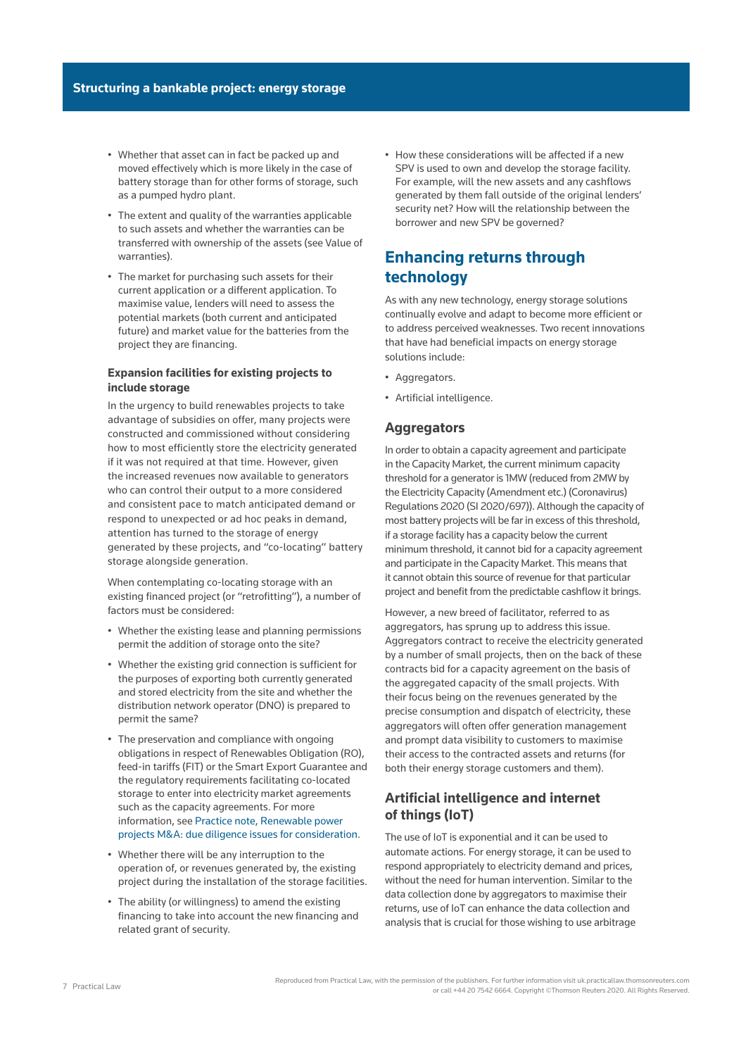- Whether that asset can in fact be packed up and moved effectively which is more likely in the case of battery storage than for other forms of storage, such as a pumped hydro plant.
- The extent and quality of the warranties applicable to such assets and whether the warranties can be transferred with ownership of the assets (see Value of warranties).
- The market for purchasing such assets for their current application or a different application. To maximise value, lenders will need to assess the potential markets (both current and anticipated future) and market value for the batteries from the project they are financing.

### **Expansion facilities for existing projects to include storage**

In the urgency to build renewables projects to take advantage of subsidies on offer, many projects were constructed and commissioned without considering how to most efficiently store the electricity generated if it was not required at that time. However, given the increased revenues now available to generators who can control their output to a more considered and consistent pace to match anticipated demand or respond to unexpected or ad hoc peaks in demand, attention has turned to the storage of energy generated by these projects, and "co-locating" battery storage alongside generation.

When contemplating co-locating storage with an existing financed project (or "retrofitting"), a number of factors must be considered:

- Whether the existing lease and planning permissions permit the addition of storage onto the site?
- Whether the existing grid connection is sufficient for the purposes of exporting both currently generated and stored electricity from the site and whether the distribution network operator (DNO) is prepared to permit the same?
- The preservation and compliance with ongoing obligations in respect of [Renewables Obligation](http://uk.practicallaw.thomsonreuters.com/8-623-0755?originationContext=document&vr=3.0&rs=PLUK1.0&transitionType=DocumentItem&contextData=(sc.Default)) (RO), feed-in tariffs (FIT) or the Smart Export Guarantee and the regulatory requirements facilitating co-located storage to enter into electricity market agreements such as the capacity agreements. For more information, see [Practice note, Renewable power](http://uk.practicallaw.tr.com/w-020-3155)  [projects M&A: due diligence issues for consideration.](http://uk.practicallaw.tr.com/w-020-3155)
- Whether there will be any interruption to the operation of, or revenues generated by, the existing project during the installation of the storage facilities.
- The ability (or willingness) to amend the existing financing to take into account the new financing and related grant of security.

• How these considerations will be affected if a new SPV is used to own and develop the storage facility. For example, will the new assets and any cashflows generated by them fall outside of the original lenders' security net? How will the relationship between the borrower and new SPV be governed?

# **Enhancing returns through technology**

As with any new technology, energy storage solutions continually evolve and adapt to become more efficient or to address perceived weaknesses. Two recent innovations that have had beneficial impacts on energy storage solutions include:

- Aggregators.
- Artificial intelligence.

### **Aggregators**

In order to obtain a capacity agreement and participate in the Capacity Market, the current minimum capacity threshold for a generator is 1MW (reduced from 2MW by the [Electricity Capacity \(Amendment etc.\) \(Coronavirus\)](http://uk.practicallaw.thomsonreuters.com/w-026-4624?originationContext=document&vr=3.0&rs=PLUK1.0&transitionType=PLDocumentLink&contextData=(sc.Default))  [Regulations 2020 \(SI 2020/697\)\)](http://uk.practicallaw.thomsonreuters.com/w-026-4624?originationContext=document&vr=3.0&rs=PLUK1.0&transitionType=PLDocumentLink&contextData=(sc.Default)). Although the capacity of most battery projects will be far in excess of this threshold, if a storage facility has a capacity below the current minimum threshold, it cannot bid for a capacity agreement and participate in the Capacity Market. This means that it cannot obtain this source of revenue for that particular project and benefit from the predictable cashflow it brings.

However, a new breed of facilitator, referred to as aggregators, has sprung up to address this issue. Aggregators contract to receive the electricity generated by a number of small projects, then on the back of these contracts bid for a capacity agreement on the basis of the aggregated capacity of the small projects. With their focus being on the revenues generated by the precise consumption and dispatch of electricity, these aggregators will often offer generation management and prompt data visibility to customers to maximise their access to the contracted assets and returns (for both their energy storage customers and them).

## **Artificial intelligence and internet of things (IoT)**

The use of IoT is exponential and it can be used to automate actions. For energy storage, it can be used to respond appropriately to electricity demand and prices, without the need for human intervention. Similar to the data collection done by aggregators to maximise their returns, use of IoT can enhance the data collection and analysis that is crucial for those wishing to use arbitrage